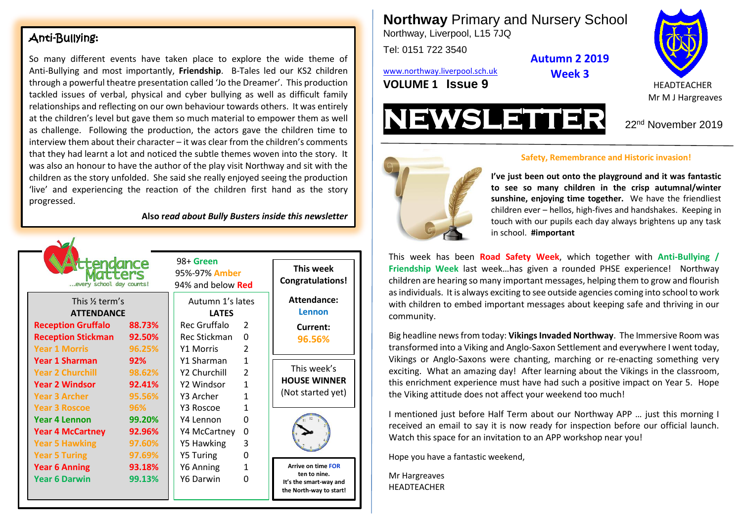#### Anti-Bullying:

So many different events have taken place to explore the wide theme of Anti-Bullying and most importantly, **Friendship**. B-Tales led our KS2 children through a powerful theatre presentation called 'Jo the Dreamer'. This production tackled issues of verbal, physical and cyber bullying as well as difficult family relationships and reflecting on our own behaviour towards others. It was entirely at the children's level but gave them so much material to empower them as well as challenge. Following the production, the actors gave the children time to interview them about their character – it was clear from the children's comments that they had learnt a lot and noticed the subtle themes woven into the story. It was also an honour to have the author of the play visit Northway and sit with the children as the story unfolded. She said she really enjoyed seeing the production 'live' and experiencing the reaction of the children first hand as the story progressed.

**Also r***ead about Bully Busters inside this newsletter*

| <b>ittendance</b><br>atters<br>every school day counts! |        | 98+ Green<br>95%-97% Amber<br>94% and below Red |               | This week<br><b>Congratulations!</b>                              |
|---------------------------------------------------------|--------|-------------------------------------------------|---------------|-------------------------------------------------------------------|
| This 1/ <sub>2</sub> term's<br><b>ATTENDANCE</b>        |        | Autumn 1's lates<br><b>LATES</b>                |               | Attendance:<br>Lennon                                             |
| <b>Reception Gruffalo</b>                               | 88.73% | Rec Gruffalo                                    | $\mathcal{P}$ | Current:                                                          |
| <b>Reception Stickman</b>                               | 92.50% | Rec Stickman                                    | 0             | 96.56%                                                            |
| <b>Year 1 Morris</b>                                    | 96.25% | <b>Y1 Morris</b>                                | $\mathcal{P}$ |                                                                   |
| Year 1 Sharman                                          | 92%    | Y1 Sharman                                      | 1             |                                                                   |
| <b>Year 2 Churchill</b>                                 | 98.62% | Y2 Churchill                                    | $\mathcal{P}$ | This week's                                                       |
| <b>Year 2 Windsor</b>                                   | 92.41% | Y2 Windsor                                      | $\mathbf{1}$  | <b>HOUSE WINNER</b>                                               |
| <b>Year 3 Archer</b>                                    | 95.56% | Y3 Archer                                       | $\mathbf{1}$  | (Not started yet)                                                 |
| <b>Year 3 Roscoe</b>                                    | 96%    | Y3 Roscoe                                       | 1             |                                                                   |
| Year 4 Lennon                                           | 99.20% | Y4 Lennon                                       | 0             |                                                                   |
| <b>Year 4 McCartney</b>                                 | 92.96% | Y4 McCartney                                    | 0             |                                                                   |
| <b>Year 5 Hawking</b>                                   | 97.60% | Y5 Hawking                                      | 3             |                                                                   |
| <b>Year 5 Turing</b>                                    | 97.69% | <b>Y5 Turing</b>                                | 0             |                                                                   |
| <b>Year 6 Anning</b>                                    | 93.18% | Y6 Anning                                       | 1             | <b>Arrive on time FOR</b>                                         |
| <b>Year 6 Darwin</b>                                    | 99.13% | Y6 Darwin                                       | O             | ten to nine.<br>It's the smart-way and<br>the North-way to start! |

**Northway** Primary and Nursery School Northway, Liverpool, L15 7JQ

Tel: 0151 722 3540

**Autumn 2 2019 Week 3**

[www.northway.liverpool.sch.uk](http://www.northway.liverpool.sch.uk/) **VOLUME 1 SSUE 9** HEADTEACHER







#### **Safety, Remembrance and Historic invasion!**

**Sunshine, enjoying time together.** We have the friendliest **Study of the friendliest I've just been out onto the playground and it was fantastic to see so many children in the crisp autumnal/winter**  children ever – hellos, high-fives and handshakes. Keeping in touch with our pupils each day always brightens up any task in school. **#important**

This week has been **Road Safety Week**, which together with **Anti-Bullying / Friendship Week** last week…has given a rounded PHSE experience! Northway children are hearing so many important messages, helping them to grow and flourish as individuals. It is always exciting to see outside agencies coming into school to work with children to embed important messages about keeping safe and thriving in our community.

Big headline news from today: **Vikings Invaded Northway**. The Immersive Room was transformed into a Viking and Anglo-Saxon Settlement and everywhere I went today, Vikings or Anglo-Saxons were chanting, marching or re-enacting something very exciting. What an amazing day! After learning about the Vikings in the classroom, this enrichment experience must have had such a positive impact on Year 5. Hope the Viking attitude does not affect your weekend too much!

I mentioned just before Half Term about our Northway APP … just this morning I received an email to say it is now ready for inspection before our official launch. Watch this space for an invitation to an APP workshop near you!

Hope you have a fantastic weekend,

Mr Hargreaves HEADTEACHER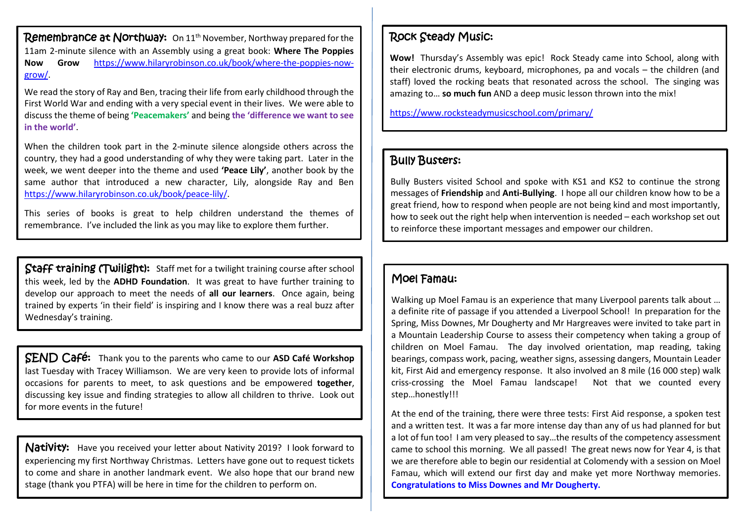Remembrance at Northway: On 11<sup>th</sup> November, Northway prepared for the 11am 2-minute silence with an Assembly using a great book: **Where The Poppies Now Grow** [https://www.hilaryrobinson.co.uk/book/where-the-poppies-now](https://www.hilaryrobinson.co.uk/book/where-the-poppies-now-grow/)[grow/.](https://www.hilaryrobinson.co.uk/book/where-the-poppies-now-grow/)

We read the story of Ray and Ben, tracing their life from early childhood through the First World War and ending with a very special event in their lives. We were able to discuss the theme of being **'Peacemakers'** and being **the 'difference we want to see in the world'**.

When the children took part in the 2-minute silence alongside others across the country, they had a good understanding of why they were taking part. Later in the week, we went deeper into the theme and used **'Peace Lily'**, another book by the same author that introduced a new character, Lily, alongside Ray and Ben [https://www.hilaryrobinson.co.uk/book/peace-lily/.](https://www.hilaryrobinson.co.uk/book/peace-lily/)

This series of books is great to help children understand the themes of remembrance. I've included the link as you may like to explore them further.

Staff training (Twilight): Staff met for a twilight training course after school this week, led by the **ADHD Foundation**. It was great to have further training to develop our approach to meet the needs of **all our learners**. Once again, being trained by experts 'in their field' is inspiring and I know there was a real buzz after Wednesday's training.

SEND Café: Thank you to the parents who came to our **ASD Café Workshop** last Tuesday with Tracey Williamson. We are very keen to provide lots of informal occasions for parents to meet, to ask questions and be empowered **together**, discussing key issue and finding strategies to allow all children to thrive. Look out for more events in the future!

Nativity: Have you received your letter about Nativity 2019? I look forward to experiencing my first Northway Christmas. Letters have gone out to request tickets to come and share in another landmark event. We also hope that our brand new stage (thank you PTFA) will be here in time for the children to perform on.

## Rock Steady Music:

**Wow!** Thursday's Assembly was epic! Rock Steady came into School, along with their electronic drums, keyboard, microphones, pa and vocals – the children (and staff) loved the rocking beats that resonated across the school. The singing was amazing to… **so much fun** AND a deep music lesson thrown into the mix!

<https://www.rocksteadymusicschool.com/primary/>

## Bully Busters:

Bully Busters visited School and spoke with KS1 and KS2 to continue the strong messages of **Friendship** and **Anti-Bullying**. I hope all our children know how to be a great friend, how to respond when people are not being kind and most importantly, how to seek out the right help when intervention is needed – each workshop set out to reinforce these important messages and empower our children.

# Moel Famau:

Walking up Moel Famau is an experience that many Liverpool parents talk about … a definite rite of passage if you attended a Liverpool School! In preparation for the Spring, Miss Downes, Mr Dougherty and Mr Hargreaves were invited to take part in a Mountain Leadership Course to assess their competency when taking a group of children on Moel Famau. The day involved orientation, map reading, taking bearings, compass work, pacing, weather signs, assessing dangers, Mountain Leader kit, First Aid and emergency response. It also involved an 8 mile (16 000 step) walk criss-crossing the Moel Famau landscape! Not that we counted every step…honestly!!!

At the end of the training, there were three tests: First Aid response, a spoken test and a written test. It was a far more intense day than any of us had planned for but a lot of fun too! I am very pleased to say…the results of the competency assessment came to school this morning. We all passed! The great news now for Year 4, is that we are therefore able to begin our residential at Colomendy with a session on Moel Famau, which will extend our first day and make yet more Northway memories. **Congratulations to Miss Downes and Mr Dougherty.**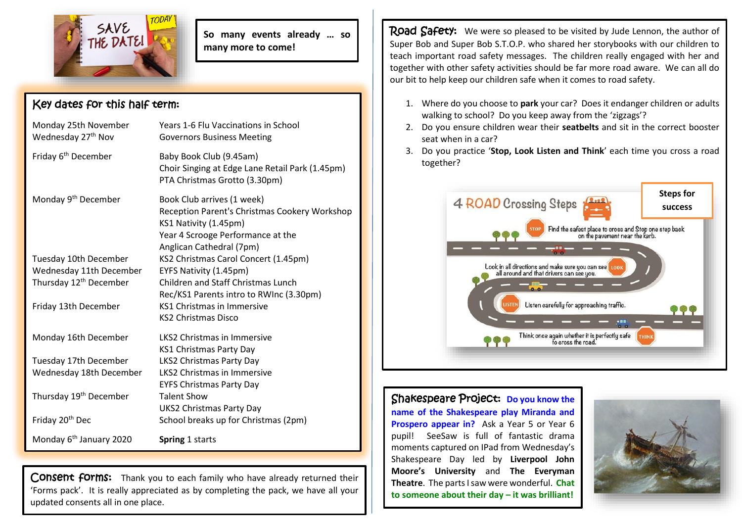

**So many events already … so many more to come!**

## Key dates for this half term:

| Monday 25th November<br>Wednesday 27 <sup>th</sup> Nov | Years 1-6 Flu Vaccinations in School<br><b>Governors Business Meeting</b>                                                                                             |
|--------------------------------------------------------|-----------------------------------------------------------------------------------------------------------------------------------------------------------------------|
| Friday 6 <sup>th</sup> December                        | Baby Book Club (9.45am)<br>Choir Singing at Edge Lane Retail Park (1.45pm)<br>PTA Christmas Grotto (3.30pm)                                                           |
| Monday 9 <sup>th</sup> December                        | Book Club arrives (1 week)<br>Reception Parent's Christmas Cookery Workshop<br>KS1 Nativity (1.45pm)<br>Year 4 Scrooge Performance at the<br>Anglican Cathedral (7pm) |
| Tuesday 10th December                                  | KS2 Christmas Carol Concert (1.45pm)                                                                                                                                  |
| Wednesday 11th December                                | EYFS Nativity (1.45pm)                                                                                                                                                |
| Thursday 12 <sup>th</sup> December                     | Children and Staff Christmas Lunch<br>Rec/KS1 Parents intro to RWInc (3.30pm)                                                                                         |
| Friday 13th December                                   | <b>KS1 Christmas in Immersive</b><br><b>KS2 Christmas Disco</b>                                                                                                       |
| Monday 16th December                                   | LKS2 Christmas in Immersive<br>KS1 Christmas Party Day                                                                                                                |
| Tuesday 17th December                                  | LKS2 Christmas Party Day                                                                                                                                              |
| Wednesday 18th December                                | <b>LKS2 Christmas in Immersive</b><br><b>EYFS Christmas Party Day</b>                                                                                                 |
| Thursday 19 <sup>th</sup> December                     | <b>Talent Show</b><br><b>UKS2 Christmas Party Day</b>                                                                                                                 |
| Friday 20 <sup>th</sup> Dec                            | School breaks up for Christmas (2pm)                                                                                                                                  |
| Monday 6 <sup>th</sup> January 2020                    | Spring 1 starts                                                                                                                                                       |

Consent forms: Thank you to each family who have already returned their 'Forms pack'. It is really appreciated as by completing the pack, we have all your updated consents all in one place.

Road Safety: We were so pleased to be visited by Jude Lennon, the author of Super Bob and Super Bob S.T.O.P. who shared her storybooks with our children to teach important road safety messages. The children really engaged with her and together with other safety activities should be far more road aware. We can all do our bit to help keep our children safe when it comes to road safety.

- 1. Where do you choose to **park** your car? Does it endanger children or adults walking to school? Do you keep away from the 'zigzags'?
- 2. Do you ensure children wear their **seatbelts** and sit in the correct booster seat when in a car?
- 3. Do you practice '**Stop, Look Listen and Think**' each time you cross a road together?



Shakespeare Project: **Do you know the name of the Shakespeare play Miranda and Prospero appear in?** Ask a Year 5 or Year 6 pupil! SeeSaw is full of fantastic drama moments captured on IPad from Wednesday's Shakespeare Day led by **Liverpool John Moore's University** and **The Everyman Theatre**. The parts I saw were wonderful. **Chat to someone about their day – it was brilliant!**